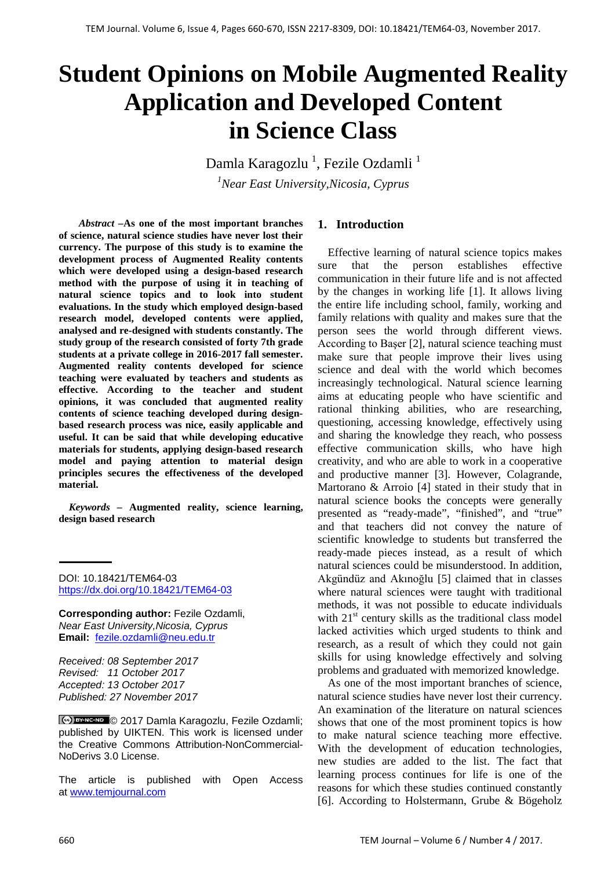# **Student Opinions on Mobile Augmented Reality Application and Developed Content in Science Class**

Damla Karagozlu <sup>1</sup>, Fezile Ozdamli <sup>1</sup> *1 Near East University,Nicosia, Cyprus*

*Abstract –***As one of the most important branches of science, natural science studies have never lost their currency. The purpose of this study is to examine the development process of Augmented Reality contents which were developed using a design-based research method with the purpose of using it in teaching of natural science topics and to look into student evaluations. In the study which employed design-based research model, developed contents were applied, analysed and re-designed with students constantly. The study group of the research consisted of forty 7th grade students at a private college in 2016-2017 fall semester. Augmented reality contents developed for science teaching were evaluated by teachers and students as effective. According to the teacher and student opinions, it was concluded that augmented reality contents of science teaching developed during designbased research process was nice, easily applicable and useful. It can be said that while developing educative materials for students, applying design-based research model and paying attention to material design principles secures the effectiveness of the developed material.** 

*Keywords –* **Augmented reality, science learning, design based research**

DOI: 10.18421/TEM64-03 <https://dx.doi.org/10.18421/TEM64-03>

**Corresponding author:** Fezile Ozdamli, *Near East University,Nicosia, Cyprus* **Email:** fezile.ozdamli@neu.edu.tr

*Received: 08 September 2017 Revised: 11 October 2017 Accepted: 13 October 2017 Published: 27 November 2017*

© 2017 Damla Karagozlu, Fezile Ozdamli; published by UIKTEN. This work is licensed under the Creative Commons Attribution-NonCommercial-NoDerivs 3.0 License.

The article is published with Open Access at [www.temjournal.com](http://www.temjournal.com/)

#### **1. Introduction**

Effective learning of natural science topics makes sure that the person establishes effective communication in their future life and is not affected by the changes in working life [1]. It allows living the entire life including school, family, working and family relations with quality and makes sure that the person sees the world through different views. According to Başer [2], natural science teaching must make sure that people improve their lives using science and deal with the world which becomes increasingly technological. Natural science learning aims at educating people who have scientific and rational thinking abilities, who are researching, questioning, accessing knowledge, effectively using and sharing the knowledge they reach, who possess effective communication skills, who have high creativity, and who are able to work in a cooperative and productive manner [3]. However, Colagrande, Martorano & Arroio [4] stated in their study that in natural science books the concepts were generally presented as "ready-made", "finished", and "true" and that teachers did not convey the nature of scientific knowledge to students but transferred the ready-made pieces instead, as a result of which natural sciences could be misunderstood. In addition, Akgündüz and Akınoğlu [5] claimed that in classes where natural sciences were taught with traditional methods, it was not possible to educate individuals with  $21<sup>st</sup>$  century skills as the traditional class model lacked activities which urged students to think and research, as a result of which they could not gain skills for using knowledge effectively and solving problems and graduated with memorized knowledge.

As one of the most important branches of science, natural science studies have never lost their currency. An examination of the literature on natural sciences shows that one of the most prominent topics is how to make natural science teaching more effective. With the development of education technologies, new studies are added to the list. The fact that learning process continues for life is one of the reasons for which these studies continued constantly [6]. According to Holstermann, Grube & Bögeholz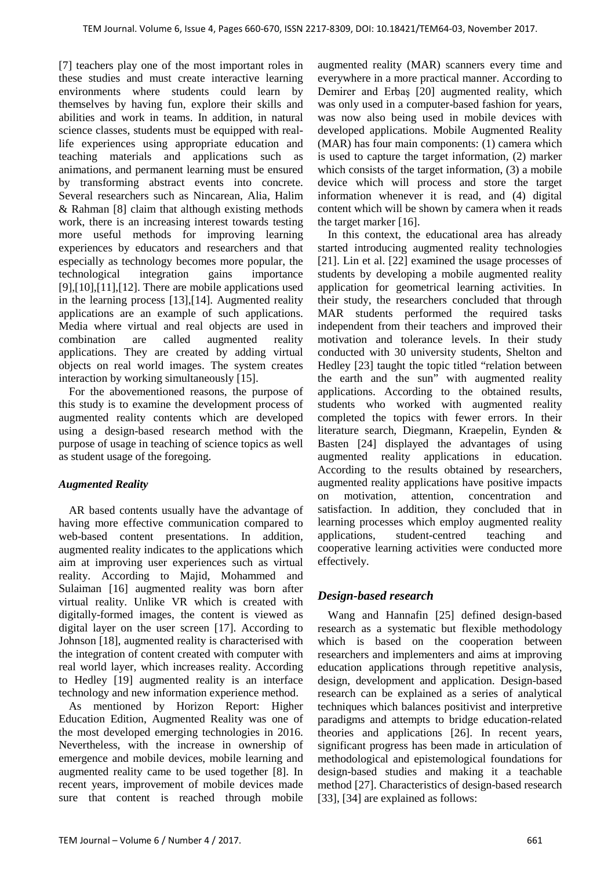[7] teachers play one of the most important roles in these studies and must create interactive learning environments where students could learn by themselves by having fun, explore their skills and abilities and work in teams. In addition, in natural science classes, students must be equipped with reallife experiences using appropriate education and teaching materials and applications such as animations, and permanent learning must be ensured by transforming abstract events into concrete. Several researchers such as Nincarean, Alia, Halim & Rahman [8] claim that although existing methods work, there is an increasing interest towards testing more useful methods for improving learning experiences by educators and researchers and that especially as technology becomes more popular, the technological integration gains importance  $[9]$ , $[10]$ , $[11]$ , $[12]$ . There are mobile applications used in the learning process [13],[14]. Augmented reality applications are an example of such applications. Media where virtual and real objects are used in combination are called augmented reality applications. They are created by adding virtual objects on real world images. The system creates interaction by working simultaneously [15].

For the abovementioned reasons, the purpose of this study is to examine the development process of augmented reality contents which are developed using a design-based research method with the purpose of usage in teaching of science topics as well as student usage of the foregoing.

## *Augmented Reality*

AR based contents usually have the advantage of having more effective communication compared to web-based content presentations. In addition, augmented reality indicates to the applications which aim at improving user experiences such as virtual reality. According to Majid, Mohammed and Sulaiman [16] augmented reality was born after virtual reality. Unlike VR which is created with digitally-formed images, the content is viewed as digital layer on the user screen [17]. According to Johnson [18], augmented reality is characterised with the integration of content created with computer with real world layer, which increases reality. According to Hedley [19] augmented reality is an interface technology and new information experience method.

As mentioned by Horizon Report: Higher Education Edition, Augmented Reality was one of the most developed emerging technologies in 2016. Nevertheless, with the increase in ownership of emergence and mobile devices, mobile learning and augmented reality came to be used together [8]. In recent years, improvement of mobile devices made sure that content is reached through mobile

augmented reality (MAR) scanners every time and everywhere in a more practical manner. According to Demirer and Erbaş [20] augmented reality, which was only used in a computer-based fashion for years, was now also being used in mobile devices with developed applications. Mobile Augmented Reality (MAR) has four main components: (1) camera which is used to capture the target information, (2) marker which consists of the target information,  $(3)$  a mobile device which will process and store the target information whenever it is read, and (4) digital content which will be shown by camera when it reads the target marker [16].

In this context, the educational area has already started introducing augmented reality technologies [21]. Lin et al. [22] examined the usage processes of students by developing a mobile augmented reality application for geometrical learning activities. In their study, the researchers concluded that through MAR students performed the required tasks independent from their teachers and improved their motivation and tolerance levels. In their study conducted with 30 university students, Shelton and Hedley [23] taught the topic titled "relation between the earth and the sun" with augmented reality applications. According to the obtained results, students who worked with augmented reality completed the topics with fewer errors. In their literature search, Diegmann, Kraepelin, Eynden & Basten [24] displayed the advantages of using augmented reality applications in education. According to the results obtained by researchers, augmented reality applications have positive impacts on motivation, attention, concentration and satisfaction. In addition, they concluded that in learning processes which employ augmented reality applications, student-centred teaching and cooperative learning activities were conducted more effectively.

# *Design-based research*

Wang and Hannafin [25] defined design-based research as a systematic but flexible methodology which is based on the cooperation between researchers and implementers and aims at improving education applications through repetitive analysis, design, development and application. Design-based research can be explained as a series of analytical techniques which balances positivist and interpretive paradigms and attempts to bridge education-related theories and applications [26]. In recent years, significant progress has been made in articulation of methodological and epistemological foundations for design-based studies and making it a teachable method [27]. Characteristics of design-based research [33], [34] are explained as follows: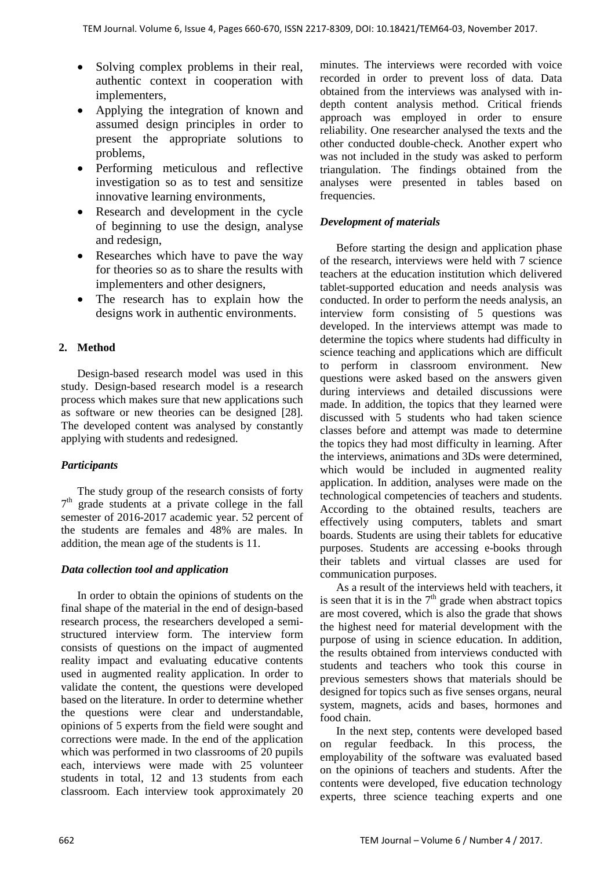- Solving complex problems in their real, authentic context in cooperation with implementers,
- Applying the integration of known and assumed design principles in order to present the appropriate solutions to problems,
- Performing meticulous and reflective investigation so as to test and sensitize innovative learning environments,
- Research and development in the cycle of beginning to use the design, analyse and redesign,
- Researches which have to pave the way for theories so as to share the results with implementers and other designers,
- The research has to explain how the designs work in authentic environments.

# **2. Method**

Design-based research model was used in this study. Design-based research model is a research process which makes sure that new applications such as software or new theories can be designed [28]. The developed content was analysed by constantly applying with students and redesigned.

# *Participants*

The study group of the research consists of forty  $7<sup>th</sup>$  grade students at a private college in the fall semester of 2016-2017 academic year. 52 percent of the students are females and 48% are males. In addition, the mean age of the students is 11.

## *Data collection tool and application*

In order to obtain the opinions of students on the final shape of the material in the end of design-based research process, the researchers developed a semistructured interview form. The interview form consists of questions on the impact of augmented reality impact and evaluating educative contents used in augmented reality application. In order to validate the content, the questions were developed based on the literature. In order to determine whether the questions were clear and understandable, opinions of 5 experts from the field were sought and corrections were made. In the end of the application which was performed in two classrooms of 20 pupils each, interviews were made with 25 volunteer students in total, 12 and 13 students from each classroom. Each interview took approximately 20 minutes. The interviews were recorded with voice recorded in order to prevent loss of data. Data obtained from the interviews was analysed with indepth content analysis method. Critical friends approach was employed in order to ensure reliability. One researcher analysed the texts and the other conducted double-check. Another expert who was not included in the study was asked to perform triangulation. The findings obtained from the analyses were presented in tables based on frequencies.

## *Development of materials*

Before starting the design and application phase of the research, interviews were held with 7 science teachers at the education institution which delivered tablet-supported education and needs analysis was conducted. In order to perform the needs analysis, an interview form consisting of 5 questions was developed. In the interviews attempt was made to determine the topics where students had difficulty in science teaching and applications which are difficult to perform in classroom environment. New questions were asked based on the answers given during interviews and detailed discussions were made. In addition, the topics that they learned were discussed with 5 students who had taken science classes before and attempt was made to determine the topics they had most difficulty in learning. After the interviews, animations and 3Ds were determined, which would be included in augmented reality application. In addition, analyses were made on the technological competencies of teachers and students. According to the obtained results, teachers are effectively using computers, tablets and smart boards. Students are using their tablets for educative purposes. Students are accessing e-books through their tablets and virtual classes are used for communication purposes.

As a result of the interviews held with teachers, it is seen that it is in the  $7<sup>th</sup>$  grade when abstract topics are most covered, which is also the grade that shows the highest need for material development with the purpose of using in science education. In addition, the results obtained from interviews conducted with students and teachers who took this course in previous semesters shows that materials should be designed for topics such as five senses organs, neural system, magnets, acids and bases, hormones and food chain.

In the next step, contents were developed based on regular feedback. In this process, the employability of the software was evaluated based on the opinions of teachers and students. After the contents were developed, five education technology experts, three science teaching experts and one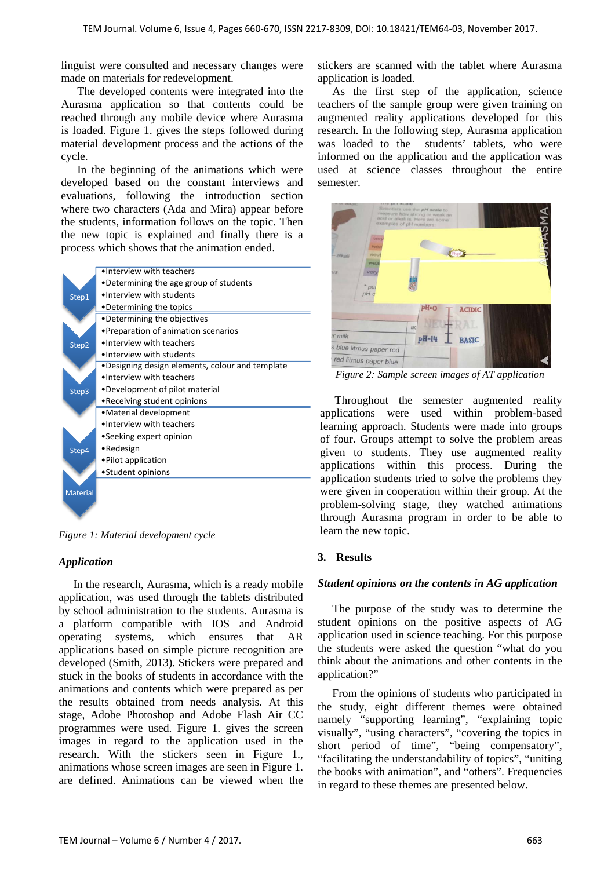linguist were consulted and necessary changes were made on materials for redevelopment.

The developed contents were integrated into the Aurasma application so that contents could be reached through any mobile device where Aurasma is loaded. Figure 1. gives the steps followed during material development process and the actions of the cycle.

In the beginning of the animations which were developed based on the constant interviews and evaluations, following the introduction section where two characters (Ada and Mira) appear before the students, information follows on the topic. Then the new topic is explained and finally there is a process which shows that the animation ended.



*Figure 1: Material development cycle*

## *Application*

In the research, Aurasma, which is a ready mobile application, was used through the tablets distributed by school administration to the students. Aurasma is a platform compatible with IOS and Android operating systems, which ensures that AR applications based on simple picture recognition are developed (Smith, 2013). Stickers were prepared and stuck in the books of students in accordance with the animations and contents which were prepared as per the results obtained from needs analysis. At this stage, Adobe Photoshop and Adobe Flash Air CC programmes were used. Figure 1. gives the screen images in regard to the application used in the research. With the stickers seen in Figure 1., animations whose screen images are seen in Figure 1. are defined. Animations can be viewed when the

stickers are scanned with the tablet where Aurasma application is loaded.

As the first step of the application, science teachers of the sample group were given training on augmented reality applications developed for this research. In the following step, Aurasma application was loaded to the students' tablets, who were informed on the application and the application was used at science classes throughout the entire semester.

| <b>ALL R. DELLESSE</b>           | Scientists use the pH scale to<br>measure how atrong or weak an<br>acid or alkali is. Here are some<br>examples of pH numbers: |               | RASMA |
|----------------------------------|--------------------------------------------------------------------------------------------------------------------------------|---------------|-------|
| very<br>wee<br>neut<br>- alkali  |                                                                                                                                |               |       |
| wea<br>very<br>US<br>pul<br>pH c |                                                                                                                                |               |       |
|                                  | pH=0                                                                                                                           | <b>ACIDIC</b> |       |
|                                  | ad                                                                                                                             | AI.           |       |
| <b>Ir</b> milk                   | pH-14                                                                                                                          | <b>BASIC</b>  |       |
| s blue litmus paper red          |                                                                                                                                |               |       |
| red litmus paper blue            |                                                                                                                                |               |       |

*Figure 2: Sample screen images of AT application* 

Throughout the semester augmented reality applications were used within problem-based learning approach. Students were made into groups of four. Groups attempt to solve the problem areas given to students. They use augmented reality applications within this process. During the application students tried to solve the problems they were given in cooperation within their group. At the problem-solving stage, they watched animations through Aurasma program in order to be able to learn the new topic.

## **3. Results**

#### *Student opinions on the contents in AG application*

The purpose of the study was to determine the student opinions on the positive aspects of AG application used in science teaching. For this purpose the students were asked the question "what do you think about the animations and other contents in the application?"

From the opinions of students who participated in the study, eight different themes were obtained namely "supporting learning", "explaining topic visually", "using characters", "covering the topics in short period of time", "being compensatory", "facilitating the understandability of topics", "uniting the books with animation", and "others". Frequencies in regard to these themes are presented below.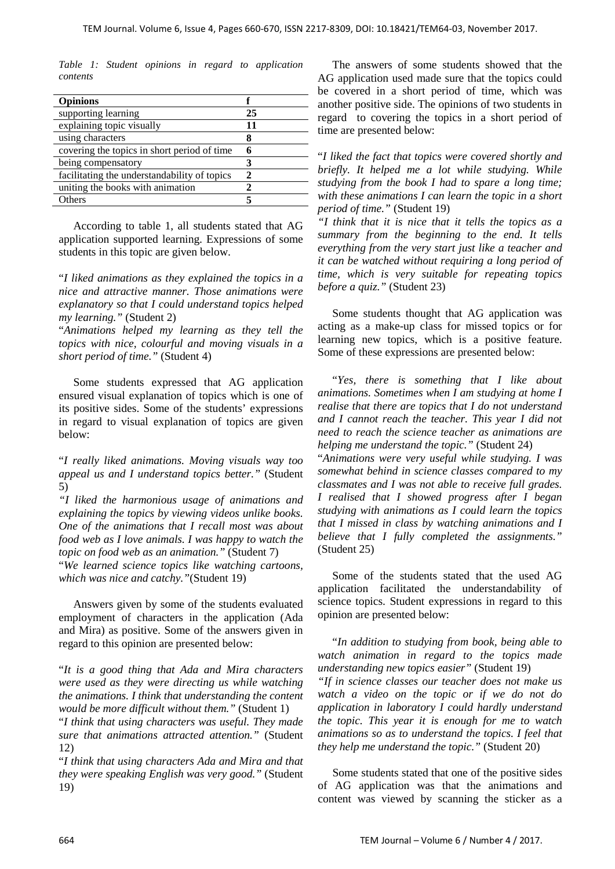*Table 1: Student opinions in regard to application contents*

| <b>Opinions</b>                              |    |
|----------------------------------------------|----|
| supporting learning                          | 25 |
| explaining topic visually                    | 11 |
| using characters                             |    |
| covering the topics in short period of time  |    |
| being compensatory                           |    |
| facilitating the understandability of topics |    |
| uniting the books with animation             |    |
| Others                                       |    |

According to table 1, all students stated that AG application supported learning. Expressions of some students in this topic are given below.

"*I liked animations as they explained the topics in a nice and attractive manner. Those animations were explanatory so that I could understand topics helped my learning."* (Student 2)

"*Animations helped my learning as they tell the topics with nice, colourful and moving visuals in a short period of time."* (Student 4)

Some students expressed that AG application ensured visual explanation of topics which is one of its positive sides. Some of the students' expressions in regard to visual explanation of topics are given below:

"*I really liked animations. Moving visuals way too appeal us and I understand topics better."* (Student 5)

*"I liked the harmonious usage of animations and explaining the topics by viewing videos unlike books. One of the animations that I recall most was about food web as I love animals. I was happy to watch the topic on food web as an animation."* (Student 7)

"*We learned science topics like watching cartoons, which was nice and catchy."*(Student 19)

Answers given by some of the students evaluated employment of characters in the application (Ada and Mira) as positive. Some of the answers given in regard to this opinion are presented below:

"*It is a good thing that Ada and Mira characters were used as they were directing us while watching the animations. I think that understanding the content would be more difficult without them."* (Student 1)

"*I think that using characters was useful. They made sure that animations attracted attention."* (Student 12)

"*I think that using characters Ada and Mira and that they were speaking English was very good."* (Student 19)

The answers of some students showed that the AG application used made sure that the topics could be covered in a short period of time, which was another positive side. The opinions of two students in regard to covering the topics in a short period of time are presented below:

"*I liked the fact that topics were covered shortly and briefly. It helped me a lot while studying. While studying from the book I had to spare a long time; with these animations I can learn the topic in a short period of time."* (Student 19)

*"I think that it is nice that it tells the topics as a summary from the beginning to the end. It tells everything from the very start just like a teacher and it can be watched without requiring a long period of time, which is very suitable for repeating topics before a quiz."* (Student 23)

Some students thought that AG application was acting as a make-up class for missed topics or for learning new topics, which is a positive feature. Some of these expressions are presented below:

"*Yes, there is something that I like about animations. Sometimes when I am studying at home I realise that there are topics that I do not understand and I cannot reach the teacher. This year I did not need to reach the science teacher as animations are helping me understand the topic."* (Student 24)

"*Animations were very useful while studying. I was somewhat behind in science classes compared to my classmates and I was not able to receive full grades. I realised that I showed progress after I began studying with animations as I could learn the topics that I missed in class by watching animations and I believe that I fully completed the assignments."* (Student 25)

Some of the students stated that the used AG application facilitated the understandability of science topics. Student expressions in regard to this opinion are presented below:

"*In addition to studying from book, being able to watch animation in regard to the topics made understanding new topics easier"* (Student 19) *"If in science classes our teacher does not make us watch a video on the topic or if we do not do application in laboratory I could hardly understand the topic. This year it is enough for me to watch animations so as to understand the topics. I feel that they help me understand the topic."* (Student 20)

Some students stated that one of the positive sides of AG application was that the animations and content was viewed by scanning the sticker as a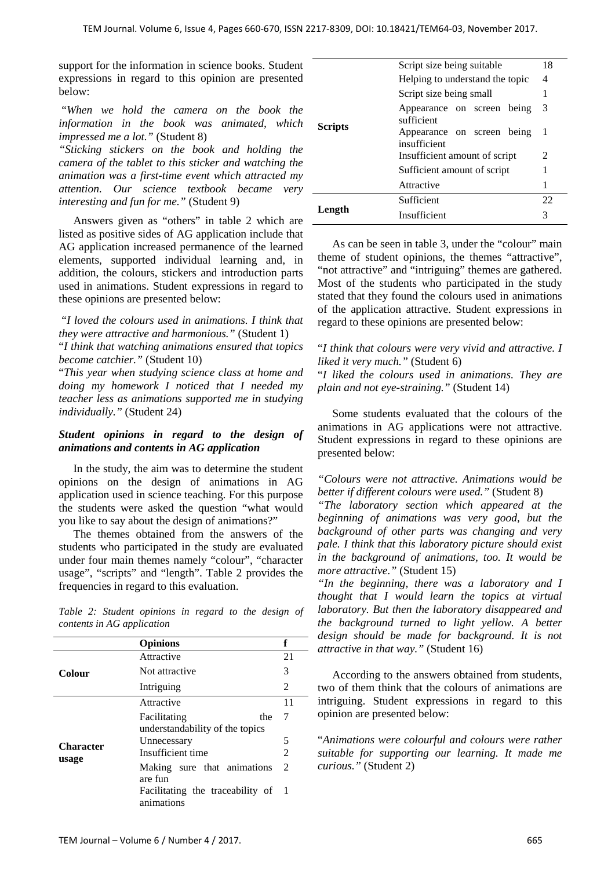support for the information in science books. Student expressions in regard to this opinion are presented below:

"*When we hold the camera on the book the information in the book was animated, which impressed me a lot."* (Student 8)

*"Sticking stickers on the book and holding the camera of the tablet to this sticker and watching the animation was a first-time event which attracted my attention. Our science textbook became very interesting and fun for me."* (Student 9)

Answers given as "others" in table 2 which are listed as positive sides of AG application include that AG application increased permanence of the learned elements, supported individual learning and, in addition, the colours, stickers and introduction parts used in animations. Student expressions in regard to these opinions are presented below:

"*I loved the colours used in animations. I think that they were attractive and harmonious."* (Student 1)

"*I think that watching animations ensured that topics become catchier."* (Student 10)

"*This year when studying science class at home and doing my homework I noticed that I needed my teacher less as animations supported me in studying individually."* (Student 24)

#### *Student opinions in regard to the design of animations and contents in AG application*

In the study, the aim was to determine the student opinions on the design of animations in AG application used in science teaching. For this purpose the students were asked the question "what would you like to say about the design of animations?"

The themes obtained from the answers of the students who participated in the study are evaluated under four main themes namely "colour", "character usage", "scripts" and "length". Table 2 provides the frequencies in regard to this evaluation.

*Table 2: Student opinions in regard to the design of contents in AG application* 

|                           | <b>Opinions</b>                                  | f              |  |
|---------------------------|--------------------------------------------------|----------------|--|
| Colour                    | Attractive                                       | 21             |  |
|                           | Not attractive                                   | 3              |  |
|                           | Intriguing                                       | $\overline{2}$ |  |
| <b>Character</b><br>usage | Attractive                                       | 11             |  |
|                           | Facilitating<br>the                              | 7              |  |
|                           | understandability of the topics                  |                |  |
|                           | Unnecessary                                      | 5              |  |
|                           | Insufficient time                                | 2              |  |
|                           | Making sure that animations<br>are fun           | - 2            |  |
|                           | Facilitating the traceability of 1<br>animations |                |  |

|                | Script size being suitable                 | 18 |
|----------------|--------------------------------------------|----|
| <b>Scripts</b> | Helping to understand the topic            | 4  |
|                | Script size being small                    |    |
|                | Appearance on screen being<br>sufficient   | 3  |
|                | Appearance on screen being<br>insufficient | -1 |
|                | Insufficient amount of script              | 2  |
|                | Sufficient amount of script                | 1  |
|                | Attractive                                 | 1  |
|                | Sufficient                                 | 22 |
| Length         | Insufficient                               | 3  |

As can be seen in table 3, under the "colour" main theme of student opinions, the themes "attractive", "not attractive" and "intriguing" themes are gathered. Most of the students who participated in the study stated that they found the colours used in animations of the application attractive. Student expressions in regard to these opinions are presented below:

#### "*I think that colours were very vivid and attractive. I liked it very much."* (Student 6)

"*I liked the colours used in animations. They are plain and not eye-straining."* (Student 14)

Some students evaluated that the colours of the animations in AG applications were not attractive. Student expressions in regard to these opinions are presented below:

*"Colours were not attractive. Animations would be better if different colours were used."* (Student 8)

*"The laboratory section which appeared at the beginning of animations was very good, but the background of other parts was changing and very pale. I think that this laboratory picture should exist in the background of animations, too. It would be more attractive."* (Student 15)

*"In the beginning, there was a laboratory and I thought that I would learn the topics at virtual laboratory. But then the laboratory disappeared and the background turned to light yellow. A better design should be made for background. It is not attractive in that way."* (Student 16)

According to the answers obtained from students, two of them think that the colours of animations are intriguing. Student expressions in regard to this opinion are presented below:

"*Animations were colourful and colours were rather suitable for supporting our learning. It made me curious."* (Student 2)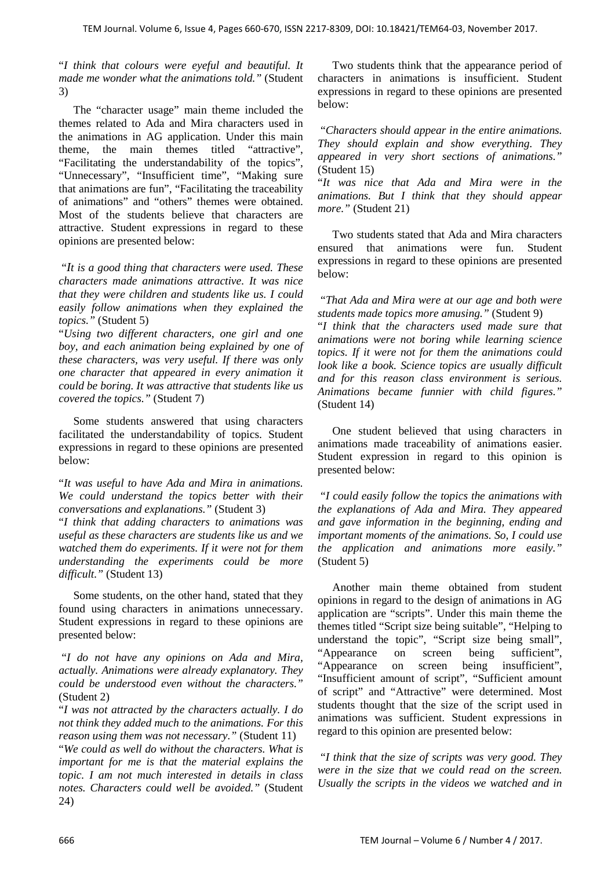"*I think that colours were eyeful and beautiful. It made me wonder what the animations told."* (Student 3)

The "character usage" main theme included the themes related to Ada and Mira characters used in the animations in AG application. Under this main theme, the main themes titled "attractive", "Facilitating the understandability of the topics", "Unnecessary", "Insufficient time", "Making sure that animations are fun", "Facilitating the traceability of animations" and "others" themes were obtained. Most of the students believe that characters are attractive. Student expressions in regard to these opinions are presented below:

"*It is a good thing that characters were used. These characters made animations attractive. It was nice that they were children and students like us. I could easily follow animations when they explained the topics."* (Student 5)

"*Using two different characters, one girl and one boy, and each animation being explained by one of these characters, was very useful. If there was only one character that appeared in every animation it could be boring. It was attractive that students like us covered the topics."* (Student 7)

Some students answered that using characters facilitated the understandability of topics. Student expressions in regard to these opinions are presented below:

"*It was useful to have Ada and Mira in animations. We could understand the topics better with their conversations and explanations."* (Student 3)

"*I think that adding characters to animations was useful as these characters are students like us and we watched them do experiments. If it were not for them understanding the experiments could be more difficult."* (Student 13)

Some students, on the other hand, stated that they found using characters in animations unnecessary. Student expressions in regard to these opinions are presented below:

"*I do not have any opinions on Ada and Mira, actually. Animations were already explanatory. They could be understood even without the characters."* (Student 2)

"*I was not attracted by the characters actually. I do not think they added much to the animations. For this reason using them was not necessary."* (Student 11)

"*We could as well do without the characters. What is important for me is that the material explains the topic. I am not much interested in details in class notes. Characters could well be avoided."* (Student 24)

Two students think that the appearance period of characters in animations is insufficient. Student expressions in regard to these opinions are presented below:

"*Characters should appear in the entire animations. They should explain and show everything. They appeared in very short sections of animations."* (Student 15)

"*It was nice that Ada and Mira were in the animations. But I think that they should appear more."* (Student 21)

Two students stated that Ada and Mira characters ensured that animations were fun. Student expressions in regard to these opinions are presented below:

"*That Ada and Mira were at our age and both were students made topics more amusing."* (Student 9)

"*I think that the characters used made sure that animations were not boring while learning science topics. If it were not for them the animations could look like a book. Science topics are usually difficult and for this reason class environment is serious. Animations became funnier with child figures."* (Student 14)

One student believed that using characters in animations made traceability of animations easier. Student expression in regard to this opinion is presented below:

"*I could easily follow the topics the animations with the explanations of Ada and Mira. They appeared and gave information in the beginning, ending and important moments of the animations. So, I could use the application and animations more easily."* (Student 5)

Another main theme obtained from student opinions in regard to the design of animations in AG application are "scripts". Under this main theme the themes titled "Script size being suitable", "Helping to understand the topic", "Script size being small", "Appearance on screen being sufficient", "Appearance on screen being insufficient", "Insufficient amount of script", "Sufficient amount of script" and "Attractive" were determined. Most students thought that the size of the script used in animations was sufficient. Student expressions in regard to this opinion are presented below:

"*I think that the size of scripts was very good. They were in the size that we could read on the screen. Usually the scripts in the videos we watched and in*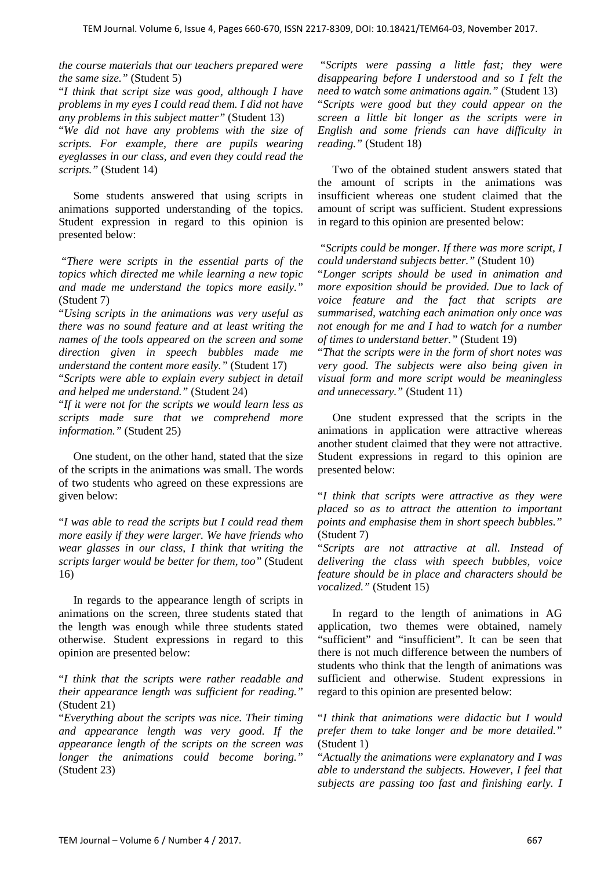*the course materials that our teachers prepared were the same size."* (Student 5)

"*I think that script size was good, although I have problems in my eyes I could read them. I did not have any problems in this subject matter"* (Student 13) "*We did not have any problems with the size of scripts. For example, there are pupils wearing eyeglasses in our class, and even they could read the scripts."* (Student 14)

Some students answered that using scripts in animations supported understanding of the topics. Student expression in regard to this opinion is presented below:

"*There were scripts in the essential parts of the topics which directed me while learning a new topic and made me understand the topics more easily."* (Student 7)

"*Using scripts in the animations was very useful as there was no sound feature and at least writing the names of the tools appeared on the screen and some direction given in speech bubbles made me understand the content more easily."* (Student 17)

"*Scripts were able to explain every subject in detail and helped me understand."* (Student 24)

"*If it were not for the scripts we would learn less as scripts made sure that we comprehend more information."* (Student 25)

One student, on the other hand, stated that the size of the scripts in the animations was small. The words of two students who agreed on these expressions are given below:

"*I was able to read the scripts but I could read them more easily if they were larger. We have friends who wear glasses in our class, I think that writing the scripts larger would be better for them, too"* (Student 16)

In regards to the appearance length of scripts in animations on the screen, three students stated that the length was enough while three students stated otherwise. Student expressions in regard to this opinion are presented below:

"*I think that the scripts were rather readable and their appearance length was sufficient for reading."* (Student 21)

"*Everything about the scripts was nice. Their timing and appearance length was very good. If the appearance length of the scripts on the screen was longer the animations could become boring."* (Student 23)

"*Scripts were passing a little fast; they were disappearing before I understood and so I felt the need to watch some animations again."* (Student 13) "*Scripts were good but they could appear on the screen a little bit longer as the scripts were in English and some friends can have difficulty in reading."* (Student 18)

Two of the obtained student answers stated that the amount of scripts in the animations was insufficient whereas one student claimed that the amount of script was sufficient. Student expressions in regard to this opinion are presented below:

"*Scripts could be monger. If there was more script, I could understand subjects better."* (Student 10)

"*Longer scripts should be used in animation and more exposition should be provided. Due to lack of voice feature and the fact that scripts are summarised, watching each animation only once was not enough for me and I had to watch for a number of times to understand better."* (Student 19)

"*That the scripts were in the form of short notes was very good. The subjects were also being given in visual form and more script would be meaningless and unnecessary."* (Student 11)

One student expressed that the scripts in the animations in application were attractive whereas another student claimed that they were not attractive. Student expressions in regard to this opinion are presented below:

"*I think that scripts were attractive as they were placed so as to attract the attention to important points and emphasise them in short speech bubbles."* (Student 7)

"*Scripts are not attractive at all. Instead of delivering the class with speech bubbles, voice feature should be in place and characters should be vocalized."* (Student 15)

In regard to the length of animations in AG application, two themes were obtained, namely "sufficient" and "insufficient". It can be seen that there is not much difference between the numbers of students who think that the length of animations was sufficient and otherwise. Student expressions in regard to this opinion are presented below:

"*I think that animations were didactic but I would prefer them to take longer and be more detailed."* (Student 1)

"*Actually the animations were explanatory and I was able to understand the subjects. However, I feel that subjects are passing too fast and finishing early. I*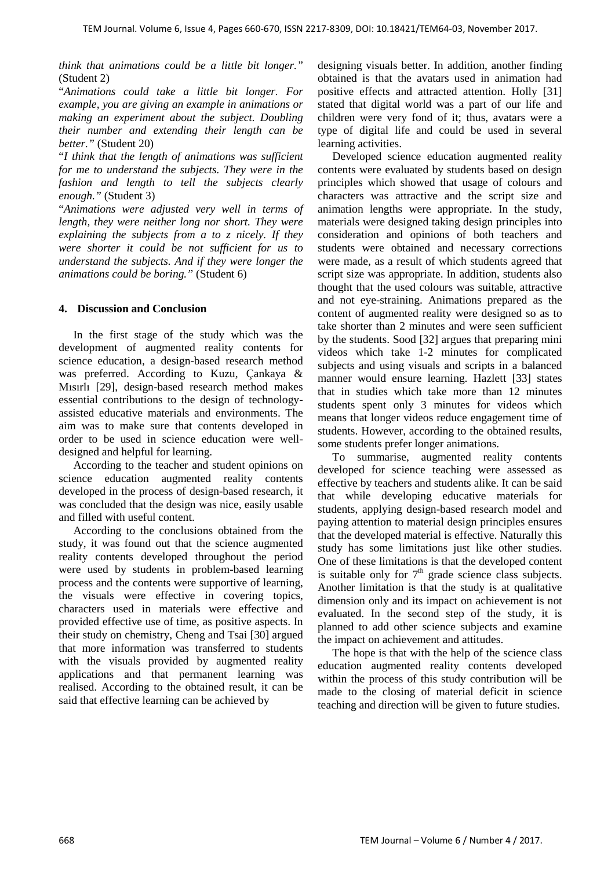*think that animations could be a little bit longer."*  (Student 2)

"*Animations could take a little bit longer. For example, you are giving an example in animations or making an experiment about the subject. Doubling their number and extending their length can be better."* (Student 20)

"*I think that the length of animations was sufficient for me to understand the subjects. They were in the fashion and length to tell the subjects clearly enough."* (Student 3)

"*Animations were adjusted very well in terms of length, they were neither long nor short. They were explaining the subjects from a to z nicely. If they were shorter it could be not sufficient for us to understand the subjects. And if they were longer the animations could be boring."* (Student 6)

#### **4. Discussion and Conclusion**

In the first stage of the study which was the development of augmented reality contents for science education, a design-based research method was preferred. According to Kuzu, Çankaya & Mısırlı [29], design-based research method makes essential contributions to the design of technologyassisted educative materials and environments. The aim was to make sure that contents developed in order to be used in science education were welldesigned and helpful for learning.

According to the teacher and student opinions on science education augmented reality contents developed in the process of design-based research, it was concluded that the design was nice, easily usable and filled with useful content.

According to the conclusions obtained from the study, it was found out that the science augmented reality contents developed throughout the period were used by students in problem-based learning process and the contents were supportive of learning, the visuals were effective in covering topics, characters used in materials were effective and provided effective use of time, as positive aspects. In their study on chemistry, Cheng and Tsai [30] argued that more information was transferred to students with the visuals provided by augmented reality applications and that permanent learning was realised. According to the obtained result, it can be said that effective learning can be achieved by

designing visuals better. In addition, another finding obtained is that the avatars used in animation had positive effects and attracted attention. Holly [31] stated that digital world was a part of our life and children were very fond of it; thus, avatars were a type of digital life and could be used in several learning activities.

Developed science education augmented reality contents were evaluated by students based on design principles which showed that usage of colours and characters was attractive and the script size and animation lengths were appropriate. In the study, materials were designed taking design principles into consideration and opinions of both teachers and students were obtained and necessary corrections were made, as a result of which students agreed that script size was appropriate. In addition, students also thought that the used colours was suitable, attractive and not eye-straining. Animations prepared as the content of augmented reality were designed so as to take shorter than 2 minutes and were seen sufficient by the students. Sood [32] argues that preparing mini videos which take 1-2 minutes for complicated subjects and using visuals and scripts in a balanced manner would ensure learning. Hazlett [33] states that in studies which take more than 12 minutes students spent only 3 minutes for videos which means that longer videos reduce engagement time of students. However, according to the obtained results, some students prefer longer animations.

To summarise, augmented reality contents developed for science teaching were assessed as effective by teachers and students alike. It can be said that while developing educative materials for students, applying design-based research model and paying attention to material design principles ensures that the developed material is effective. Naturally this study has some limitations just like other studies. One of these limitations is that the developed content is suitable only for  $7<sup>th</sup>$  grade science class subjects. Another limitation is that the study is at qualitative dimension only and its impact on achievement is not evaluated. In the second step of the study, it is planned to add other science subjects and examine the impact on achievement and attitudes.

The hope is that with the help of the science class education augmented reality contents developed within the process of this study contribution will be made to the closing of material deficit in science teaching and direction will be given to future studies.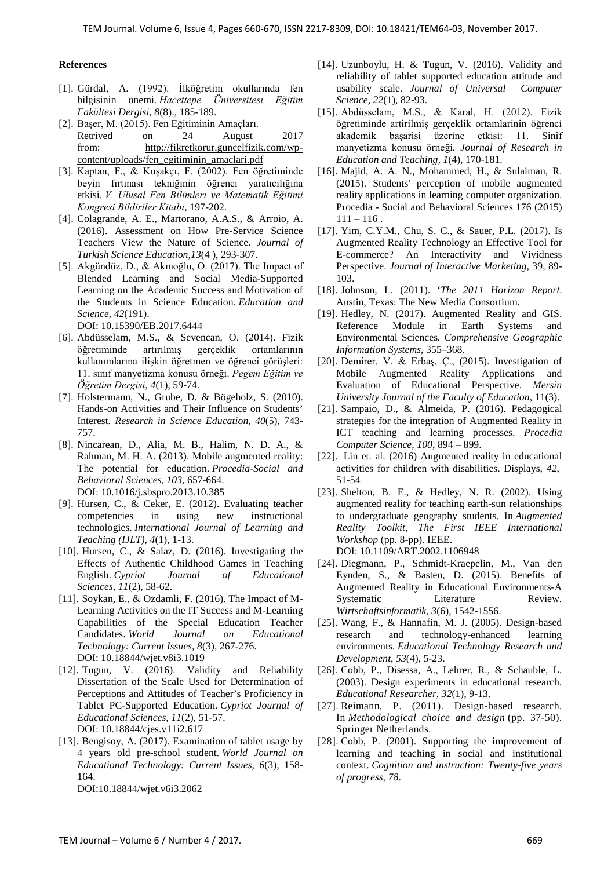#### **References**

- [1]. Gürdal, A. (1992). İlköğretim okullarında fen bilgisinin önemi. *Hacettepe Üniversitesi Eğitim Fakültesi Dergisi*, *8*(8).*,* 185-189.
- [2]. Başer, M. (2015). Fen Eğitiminin Amaçları. Retrived on 24 August 2017 from: [http://fikretkorur.guncelfizik.com/wp](http://fikretkorur.guncelfizik.com/wp-content/uploads/fen_egitiminin_amaclari.pdf)[content/uploads/fen\\_egitiminin\\_amaclari.pdf](http://fikretkorur.guncelfizik.com/wp-content/uploads/fen_egitiminin_amaclari.pdf)
- [3]. Kaptan, F., & Kuşakçı, F. (2002). Fen öğretiminde beyin fırtınası tekniğinin öğrenci yaratıcılığına etkisi. *V. Ulusal Fen Bilimleri ve Matematik Eğitimi Kongresi Bildiriler Kitabı*, 197-202.
- [4]. Colagrande, A. E., Martorano, A.A.S., & Arroio, A. (2016). Assessment on How Pre-Service Science Teachers View the Nature of Science. *Journal of Turkish Science Education,13*(4 ), 293-307.
- [5]. Akgündüz, D., & Akınoğlu, O. (2017). The Impact of Blended Learning and Social Media-Supported Learning on the Academic Success and Motivation of the Students in Science Education. *Education and Science, 42*(191). DOI: [10.15390/EB.2017.6444](http://dx.doi.org/10.15390/EB.2017.6444)
- [6]. Abdüsselam, M.S., & Sevencan, O. (2014). Fizik öğretiminde artırılmış gerçeklik ortamlarının kullanımlarına ilişkin öğretmen ve öğrenci görüşleri: 11. sınıf manyetizma konusu örneği. *Pegem Eğitim ve Öğretim Dergisi*, *4*(1), 59-74.
- [7]. Holstermann, N., Grube, D. & Bögeholz, S. (2010). Hands-on Activities and Their Influence on Students' Interest. *Research in Science Education, 40*(5), 743- 757.
- [8]. Nincarean, D., Alia, M. B., Halim, N. D. A., & Rahman, M. H. A. (2013). Mobile augmented reality: The potential for education. *Procedia-Social and Behavioral Sciences*, *103*, 657-664. [DOI: 10.1016/j.sbspro.2013.10.385](http://doi.org/10.1016/j.sbspro.2013.10.385)
- [9]. Hursen, C., & Ceker, E. (2012). Evaluating teacher competencies in using new instructional technologies. *International Journal of Learning and Teaching (IJLT)*, *4*(1), 1-13.
- [10]. Hursen, C., & Salaz, D. (2016). Investigating the Effects of Authentic Childhood Games in Teaching English. *Cypriot Journal of Educational Sciences*, *11*(2), 58-62.
- [11]. Soykan, E., & Ozdamli, F. (2016). The Impact of M-Learning Activities on the IT Success and M-Learning Capabilities of the Special Education Teacher Candidates. *World Journal on Educational Technology: Current Issues, 8*(3), 267-276. DOI: 10.18844/wjet.v8i3.1019
- [12]. Tugun, V. (2016). Validity and Reliability Dissertation of the Scale Used for Determination of Perceptions and Attitudes of Teacher's Proficiency in Tablet PC-Supported Education. *Cypriot Journal of Educational Sciences, 11*(2), 51-57. DOI: 10.18844/cjes.v11i2.617
- [13]. Bengisoy, A. (2017). Examination of tablet usage by 4 years old pre-school student. *World Journal on Educational Technology: Current Issues, 6*(3), 158- 164. DOI:10.18844/wjet.v6i3.2062

[14]. Uzunboylu, H. & Tugun, V. (2016). Validity and reliability of tablet supported education attitude and usability scale. *Journal of Universal Computer Science, 22*(1), 82-93.

- [15]. Abdüsselam, M.S., & Karal, H. (2012). Fizik öğretiminde artirilmiş gerçeklik ortamlarinin öğrenci akademik başarisi üzerine etkisi: 11. Sinif manyetizma konusu örneği. Journal of Research in *Education and Teaching, 1*(4), 170-181.
- [16]. Majid, A. A. N., Mohammed, H., & Sulaiman, R. (2015). Students' perception of mobile augmented reality applications in learning computer organization. Procedia - Social and Behavioral Sciences 176 (2015)  $111 - 116$ .
- [17]. Yim, C.Y.M., Chu, S. C., & Sauer, P.L. (2017). Is Augmented Reality Technology an Effective Tool for E-commerce? An Interactivity and Vividness Perspective. *Journal of Interactive Marketing,* 39, 89- 103.
- [18]. Johnson, L. (2011). '*The 2011 Horizon Report*. Austin, Texas: The New Media Consortium.
- [19]. Hedley, N. (2017). Augmented Reality and GIS. [Reference Module in Earth Systems and](http://www.sciencedirect.com/science/referenceworks/9780124095489)  [Environmental Sciences](http://www.sciencedirect.com/science/referenceworks/9780124095489)*. Comprehensive Geographic Information Systems,* 355–368*.*
- [20]. Demirer, V. & Erbaş, Ç., (2015). Investigation of Mobile Augmented Reality Applications and Evaluation of Educational Perspective. *Mersin University Journal of the Faculty of Education*, 11(3).
- [21]. Sampaio, D., & Almeida, P. (2016). Pedagogical strategies for the integration of Augmented Reality in ICT teaching and learning processes. *Procedia Computer Science, 100*, 894 – 899.
- [22]. Lin et. al. (2016) Augmented reality in educational activities for children with disabilities. [Displays,](http://www.sciencedirect.com/science/journal/01419382) *[42](http://www.sciencedirect.com/science/journal/01419382)*, 51-54
- [23]. Shelton, B. E., & Hedley, N. R. (2002). Using augmented reality for teaching earth-sun relationships to undergraduate geography students. In *Augmented Reality Toolkit, The First IEEE International Workshop* (pp. 8-pp). IEEE. DOI: 10.1109/ART.2002.1106948
- [24]. Diegmann, P., Schmidt-Kraepelin, M., Van den Eynden, S., & Basten, D. (2015). Benefits of Augmented Reality in Educational Environments-A Systematic Literature Review. *Wirtschaftsinformatik*, *3*(6), 1542-1556.
- [25]. Wang, F., & Hannafin, M. J. (2005). Design-based research and technology-enhanced learning environments. *Educational Technology Research and Development, 53*(4), 5-23.
- [26]. Cobb, P., Disessa, A., Lehrer, R., & Schauble, L. (2003). Design experiments in educational research. *Educational Researcher*, *32*(1), 9-13.
- [27]. Reimann, P. (2011). Design-based research. In *Methodological choice and design* (pp. 37-50). Springer Netherlands.
- [28]. Cobb, P. (2001). Supporting the improvement of learning and teaching in social and institutional context. *Cognition and instruction: Twenty-five years of progress*, *78*.